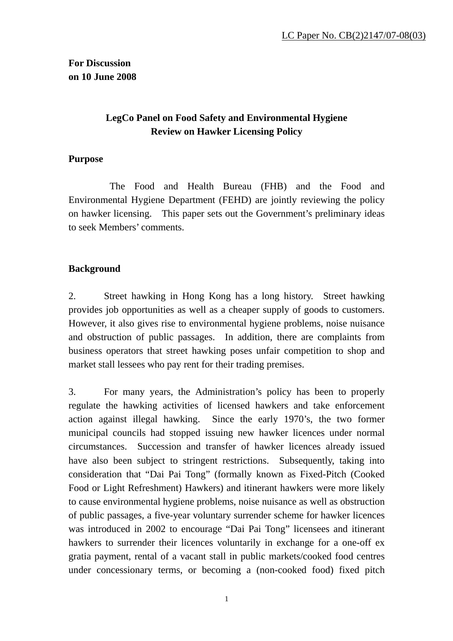**For Discussion on 10 June 2008** 

## **LegCo Panel on Food Safety and Environmental Hygiene Review on Hawker Licensing Policy**

### **Purpose**

 The Food and Health Bureau (FHB) and the Food and Environmental Hygiene Department (FEHD) are jointly reviewing the policy on hawker licensing. This paper sets out the Government's preliminary ideas to seek Members' comments.

## **Background**

2. Street hawking in Hong Kong has a long history. Street hawking provides job opportunities as well as a cheaper supply of goods to customers. However, it also gives rise to environmental hygiene problems, noise nuisance and obstruction of public passages. In addition, there are complaints from business operators that street hawking poses unfair competition to shop and market stall lessees who pay rent for their trading premises.

3. For many years, the Administration's policy has been to properly regulate the hawking activities of licensed hawkers and take enforcement action against illegal hawking. Since the early 1970's, the two former municipal councils had stopped issuing new hawker licences under normal circumstances. Succession and transfer of hawker licences already issued have also been subject to stringent restrictions. Subsequently, taking into consideration that "Dai Pai Tong" (formally known as Fixed-Pitch (Cooked Food or Light Refreshment) Hawkers) and itinerant hawkers were more likely to cause environmental hygiene problems, noise nuisance as well as obstruction of public passages, a five-year voluntary surrender scheme for hawker licences was introduced in 2002 to encourage "Dai Pai Tong" licensees and itinerant hawkers to surrender their licences voluntarily in exchange for a one-off ex gratia payment, rental of a vacant stall in public markets/cooked food centres under concessionary terms, or becoming a (non-cooked food) fixed pitch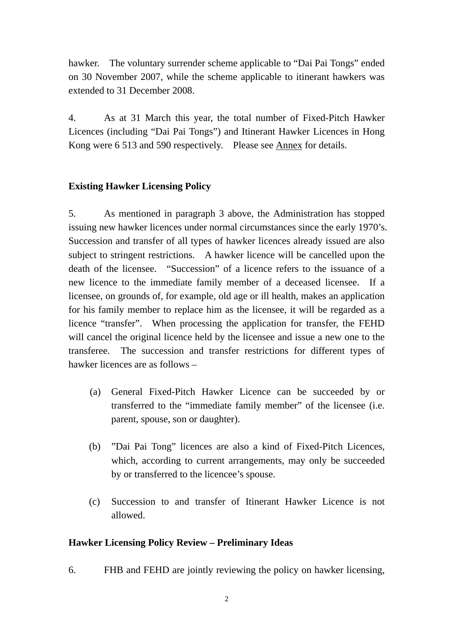hawker. The voluntary surrender scheme applicable to "Dai Pai Tongs" ended on 30 November 2007, while the scheme applicable to itinerant hawkers was extended to 31 December 2008.

4. As at 31 March this year, the total number of Fixed-Pitch Hawker Licences (including "Dai Pai Tongs") and Itinerant Hawker Licences in Hong Kong were 6 513 and 590 respectively. Please see Annex for details.

### **Existing Hawker Licensing Policy**

5. As mentioned in paragraph 3 above, the Administration has stopped issuing new hawker licences under normal circumstances since the early 1970's. Succession and transfer of all types of hawker licences already issued are also subject to stringent restrictions. A hawker licence will be cancelled upon the death of the licensee. "Succession" of a licence refers to the issuance of a new licence to the immediate family member of a deceased licensee. If a licensee, on grounds of, for example, old age or ill health, makes an application for his family member to replace him as the licensee, it will be regarded as a licence "transfer". When processing the application for transfer, the FEHD will cancel the original licence held by the licensee and issue a new one to the transferee. The succession and transfer restrictions for different types of hawker licences are as follows –

- (a) General Fixed-Pitch Hawker Licence can be succeeded by or transferred to the "immediate family member" of the licensee (i.e. parent, spouse, son or daughter).
- (b) "Dai Pai Tong" licences are also a kind of Fixed-Pitch Licences, which, according to current arrangements, may only be succeeded by or transferred to the licencee's spouse.
- (c) Succession to and transfer of Itinerant Hawker Licence is not allowed.

### **Hawker Licensing Policy Review – Preliminary Ideas**

6. FHB and FEHD are jointly reviewing the policy on hawker licensing,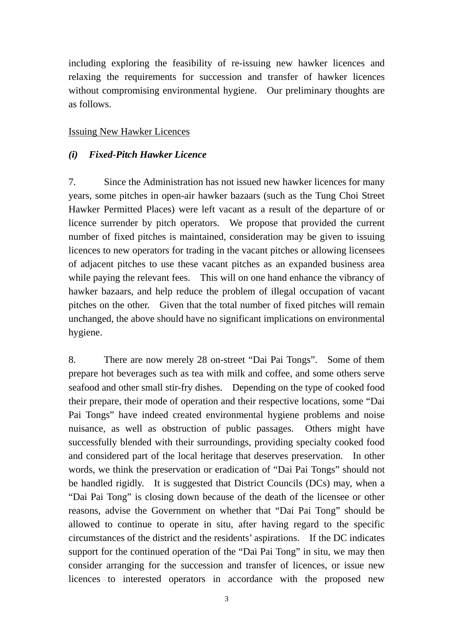including exploring the feasibility of re-issuing new hawker licences and relaxing the requirements for succession and transfer of hawker licences without compromising environmental hygiene. Our preliminary thoughts are as follows.

### Issuing New Hawker Licences

### *(i) Fixed-Pitch Hawker Licence*

7. Since the Administration has not issued new hawker licences for many years, some pitches in open-air hawker bazaars (such as the Tung Choi Street Hawker Permitted Places) were left vacant as a result of the departure of or licence surrender by pitch operators. We propose that provided the current number of fixed pitches is maintained, consideration may be given to issuing licences to new operators for trading in the vacant pitches or allowing licensees of adjacent pitches to use these vacant pitches as an expanded business area while paying the relevant fees. This will on one hand enhance the vibrancy of hawker bazaars, and help reduce the problem of illegal occupation of vacant pitches on the other. Given that the total number of fixed pitches will remain unchanged, the above should have no significant implications on environmental hygiene.

8. There are now merely 28 on-street "Dai Pai Tongs". Some of them prepare hot beverages such as tea with milk and coffee, and some others serve seafood and other small stir-fry dishes. Depending on the type of cooked food their prepare, their mode of operation and their respective locations, some "Dai Pai Tongs" have indeed created environmental hygiene problems and noise nuisance, as well as obstruction of public passages. Others might have successfully blended with their surroundings, providing specialty cooked food and considered part of the local heritage that deserves preservation. In other words, we think the preservation or eradication of "Dai Pai Tongs" should not be handled rigidly. It is suggested that District Councils (DCs) may, when a "Dai Pai Tong" is closing down because of the death of the licensee or other reasons, advise the Government on whether that "Dai Pai Tong" should be allowed to continue to operate in situ, after having regard to the specific circumstances of the district and the residents' aspirations. If the DC indicates support for the continued operation of the "Dai Pai Tong" in situ, we may then consider arranging for the succession and transfer of licences, or issue new licences to interested operators in accordance with the proposed new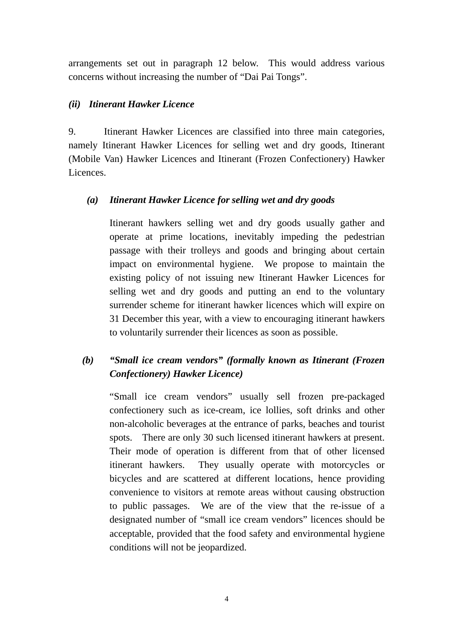arrangements set out in paragraph 12 below. This would address various concerns without increasing the number of "Dai Pai Tongs".

### *(ii) Itinerant Hawker Licence*

9. Itinerant Hawker Licences are classified into three main categories, namely Itinerant Hawker Licences for selling wet and dry goods, Itinerant (Mobile Van) Hawker Licences and Itinerant (Frozen Confectionery) Hawker Licences.

## *(a) Itinerant Hawker Licence for selling wet and dry goods*

Itinerant hawkers selling wet and dry goods usually gather and operate at prime locations, inevitably impeding the pedestrian passage with their trolleys and goods and bringing about certain impact on environmental hygiene. We propose to maintain the existing policy of not issuing new Itinerant Hawker Licences for selling wet and dry goods and putting an end to the voluntary surrender scheme for itinerant hawker licences which will expire on 31 December this year, with a view to encouraging itinerant hawkers to voluntarily surrender their licences as soon as possible.

# *(b) "Small ice cream vendors" (formally known as Itinerant (Frozen Confectionery) Hawker Licence)*

"Small ice cream vendors" usually sell frozen pre-packaged confectionery such as ice-cream, ice lollies, soft drinks and other non-alcoholic beverages at the entrance of parks, beaches and tourist spots. There are only 30 such licensed itinerant hawkers at present. Their mode of operation is different from that of other licensed itinerant hawkers. They usually operate with motorcycles or bicycles and are scattered at different locations, hence providing convenience to visitors at remote areas without causing obstruction to public passages. We are of the view that the re-issue of a designated number of "small ice cream vendors" licences should be acceptable, provided that the food safety and environmental hygiene conditions will not be jeopardized.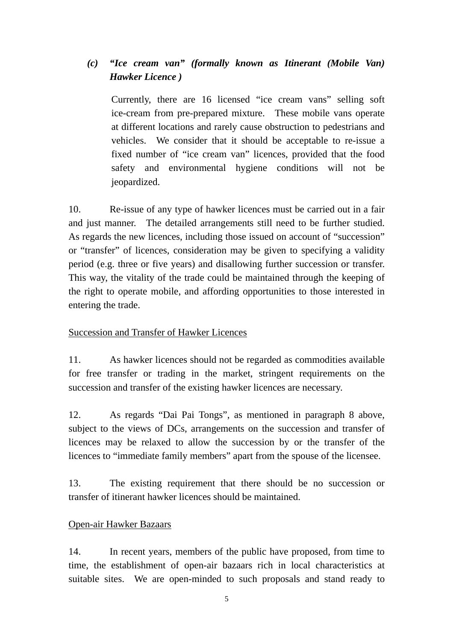## *(c) "Ice cream van" (formally known as Itinerant (Mobile Van) Hawker Licence )*

 Currently, there are 16 licensed "ice cream vans" selling soft ice-cream from pre-prepared mixture. These mobile vans operate at different locations and rarely cause obstruction to pedestrians and vehicles. We consider that it should be acceptable to re-issue a fixed number of "ice cream van" licences, provided that the food safety and environmental hygiene conditions will not be jeopardized.

10. Re-issue of any type of hawker licences must be carried out in a fair and just manner. The detailed arrangements still need to be further studied. As regards the new licences, including those issued on account of "succession" or "transfer" of licences, consideration may be given to specifying a validity period (e.g. three or five years) and disallowing further succession or transfer. This way, the vitality of the trade could be maintained through the keeping of the right to operate mobile, and affording opportunities to those interested in entering the trade.

### Succession and Transfer of Hawker Licences

11. As hawker licences should not be regarded as commodities available for free transfer or trading in the market, stringent requirements on the succession and transfer of the existing hawker licences are necessary.

12. As regards "Dai Pai Tongs", as mentioned in paragraph 8 above, subject to the views of DCs, arrangements on the succession and transfer of licences may be relaxed to allow the succession by or the transfer of the licences to "immediate family members" apart from the spouse of the licensee.

13. The existing requirement that there should be no succession or transfer of itinerant hawker licences should be maintained.

### Open-air Hawker Bazaars

14. In recent years, members of the public have proposed, from time to time, the establishment of open-air bazaars rich in local characteristics at suitable sites. We are open-minded to such proposals and stand ready to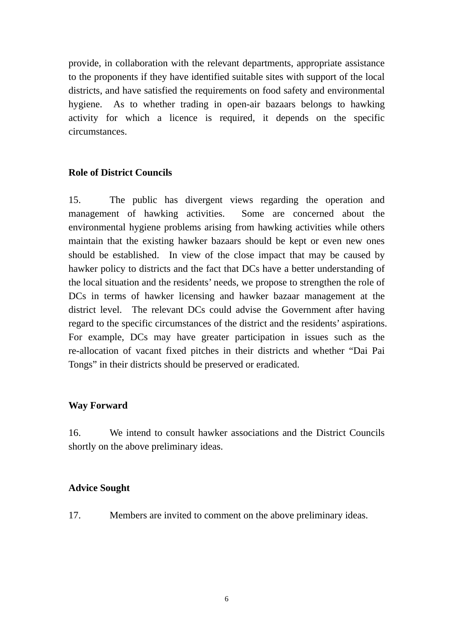provide, in collaboration with the relevant departments, appropriate assistance to the proponents if they have identified suitable sites with support of the local districts, and have satisfied the requirements on food safety and environmental hygiene. As to whether trading in open-air bazaars belongs to hawking activity for which a licence is required, it depends on the specific circumstances.

### **Role of District Councils**

15. The public has divergent views regarding the operation and management of hawking activities. Some are concerned about the environmental hygiene problems arising from hawking activities while others maintain that the existing hawker bazaars should be kept or even new ones should be established. In view of the close impact that may be caused by hawker policy to districts and the fact that DCs have a better understanding of the local situation and the residents' needs, we propose to strengthen the role of DCs in terms of hawker licensing and hawker bazaar management at the district level. The relevant DCs could advise the Government after having regard to the specific circumstances of the district and the residents' aspirations. For example, DCs may have greater participation in issues such as the re-allocation of vacant fixed pitches in their districts and whether "Dai Pai Tongs" in their districts should be preserved or eradicated.

### **Way Forward**

16. We intend to consult hawker associations and the District Councils shortly on the above preliminary ideas.

### **Advice Sought**

17. Members are invited to comment on the above preliminary ideas.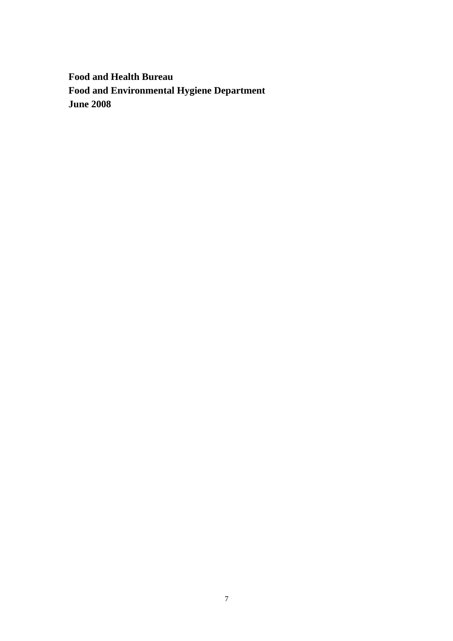**Food and Health Bureau Food and Environmental Hygiene Department June 2008**